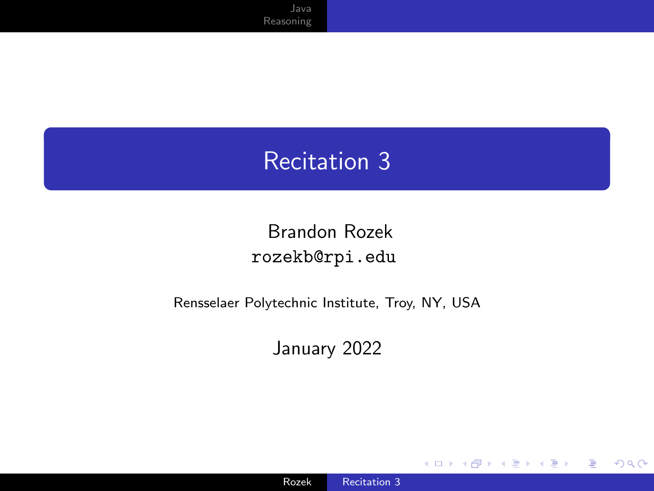### <span id="page-0-0"></span>Recitation 3

#### Brandon Rozek [rozekb@rpi.edu](mailto:rozekb@rpi.edu)

#### Rensselaer Polytechnic Institute, Troy, NY, USA

January 2022

4 0 8

 $\prec$ 

 $299$ 

∍

Ε

-b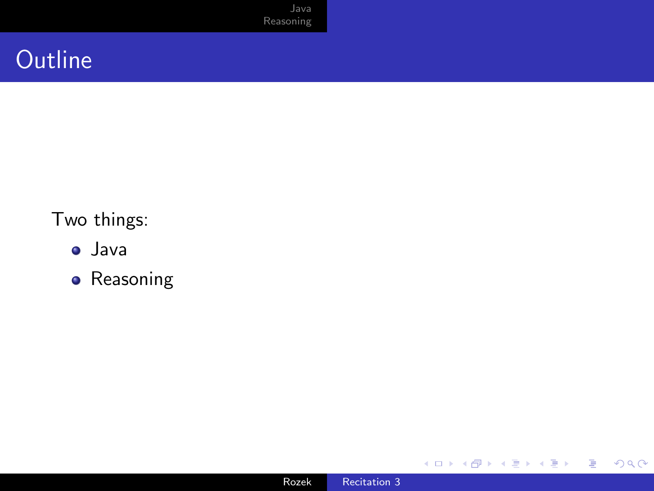[Java](#page-2-0) [Reasoning](#page-14-0)

## **Outline**

#### Two things:

- Java
- **•** Reasoning

4 ロ ▶ 4 伊

경기 E

≣  $\rightarrow$ × D.  $\blacktriangleleft$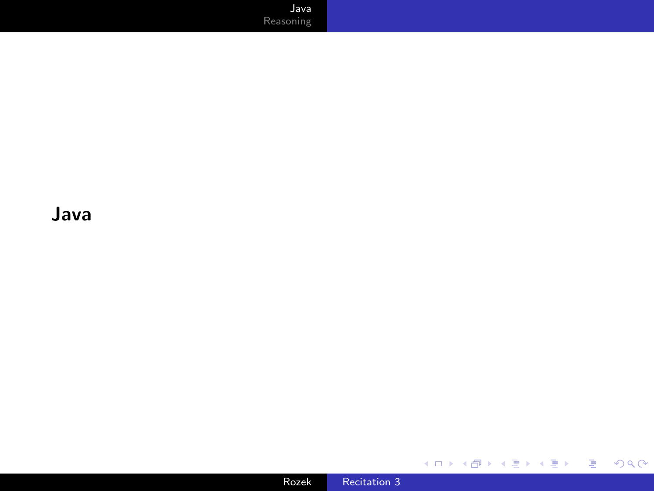[Java](#page-2-0) [Reasoning](#page-14-0)

<span id="page-2-0"></span>Java

メロトメ 御 トメ 君 トメ 君 トッ 君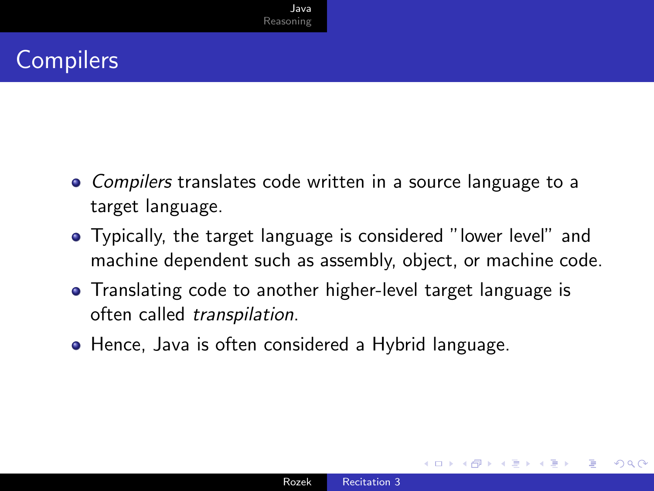## **Compilers**

- Compilers translates code written in a source language to a target language.
- Typically, the target language is considered "lower level" and machine dependent such as assembly, object, or machine code.
- Translating code to another higher-level target language is often called transpilation.
- Hence, Java is often considered a Hybrid language.

つくい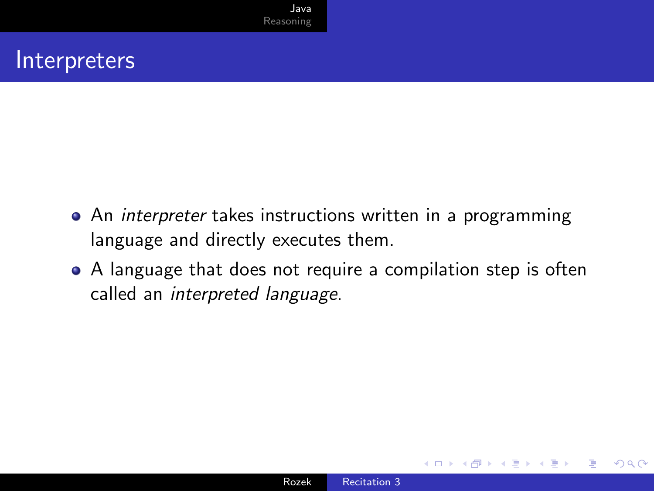#### Interpreters

- An *interpreter* takes instructions written in a programming language and directly executes them.
- A language that does not require a compilation step is often called an interpreted language.

つくい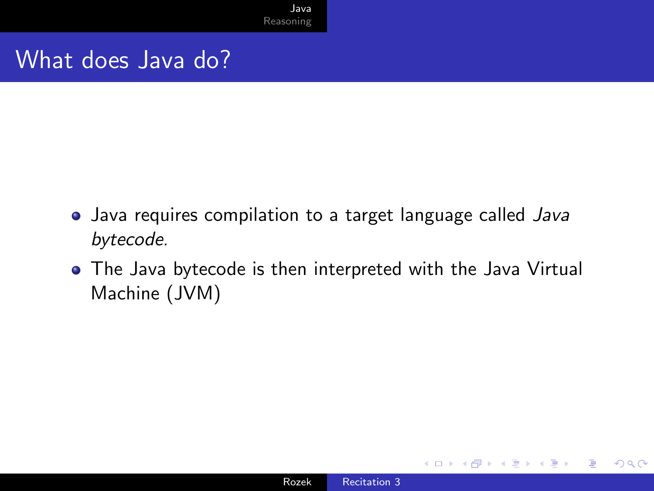#### What does Java do?

- Java requires compilation to a target language called Java bytecode.
- The Java bytecode is then interpreted with the Java Virtual Machine (JVM)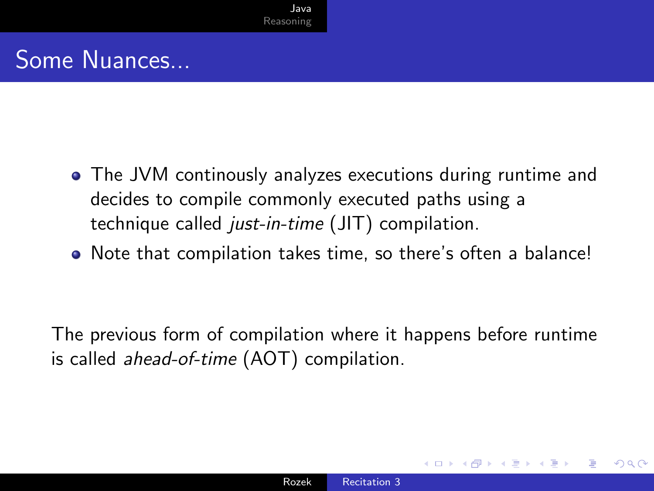## Some Nuances...

- The JVM continously analyzes executions during runtime and decides to compile commonly executed paths using a technique called just-in-time (JIT) compilation.
- Note that compilation takes time, so there's often a balance!

The previous form of compilation where it happens before runtime is called ahead-of-time (AOT) compilation.

つくへ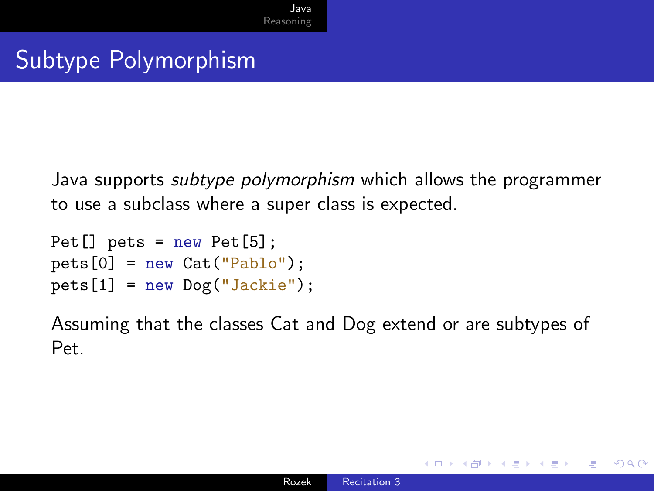Java supports subtype polymorphism which allows the programmer to use a subclass where a super class is expected.

```
Pet[] pets = new Pet[5];
pets[0] = new Cat("Pablo");pets[1] = new Dog("Jackie");
```
Assuming that the classes Cat and Dog extend or are subtypes of Pet.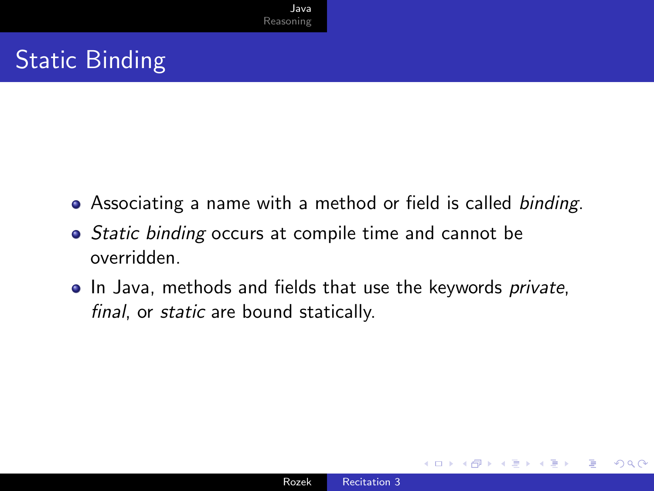## Static Binding

- Associating a name with a method or field is called binding.
- Static binding occurs at compile time and cannot be overridden.
- In Java, methods and fields that use the keywords *private*, final, or static are bound statically.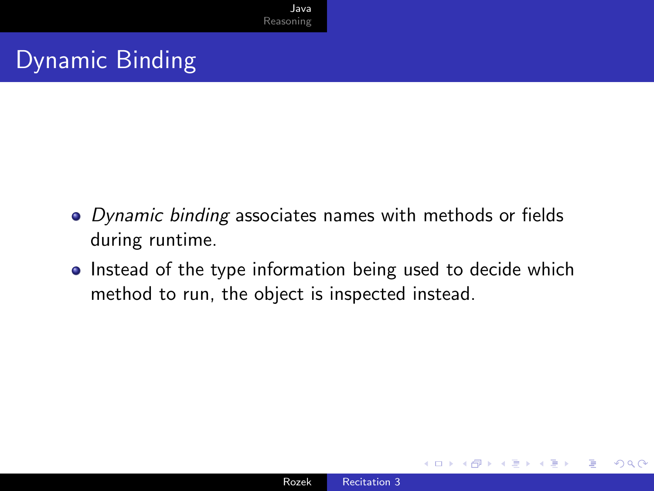## Dynamic Binding

- Dynamic binding associates names with methods or fields during runtime.
- Instead of the type information being used to decide which method to run, the object is inspected instead.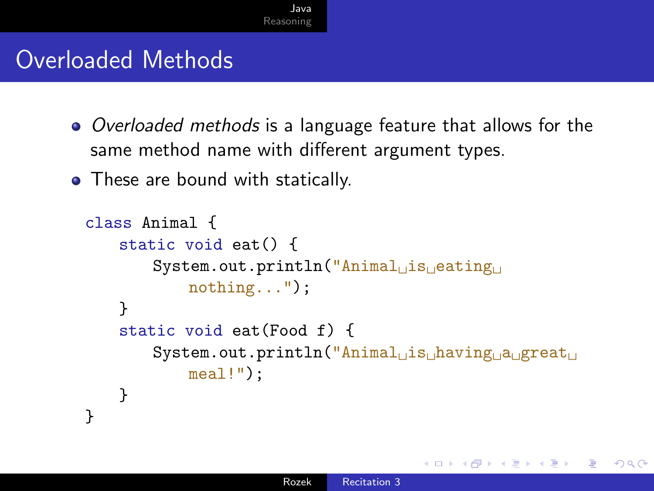#### Overloaded Methods

- Overloaded methods is a language feature that allows for the same method name with different argument types.
- These are bound with statically.

```
class Animal {
     static void eat() {
          System.out.println("Animal<sub>⊔</sub>is<sub>□</sub>eating<sub>□</sub>
               nothing...");
     }
     static void eat(Food f) {
          System.out.println("Animal<sub>uis</sub>
<sub>having
a
great
<sub>u</sub></sub>
               meal!");
     }
}
```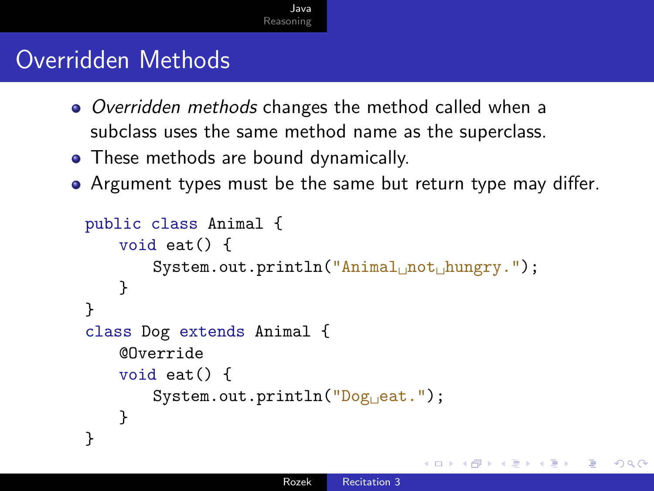### Overridden Methods

- Overridden methods changes the method called when a subclass uses the same method name as the superclass.
- These methods are bound dynamically.
- Argument types must be the same but return type may differ.

```
public class Animal {
    void eat() {
         System.out.println("Animal<sub>i mot<sub>i h</sub>ungry.");</sub>
    }
}
class Dog extends Animal {
    @Override
    void eat() {
         System.out.println("Dog<sub>Li</sub>eat.");
    }
}
```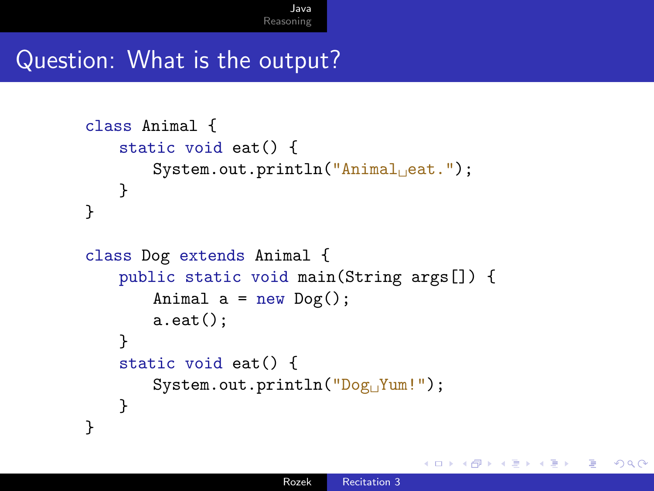#### Question: What is the output?

```
class Animal {
    static void eat() {
        System.out.println("Animal<sub>ileat."</sub>);
   }
}
class Dog extends Animal {
    public static void main(String args[]) {
        Animal a = new Dog();
        a.eat();
    }
    static void eat() {
        System.out.println("Dog<sub>(Yum!")</sub>;
    }
}
```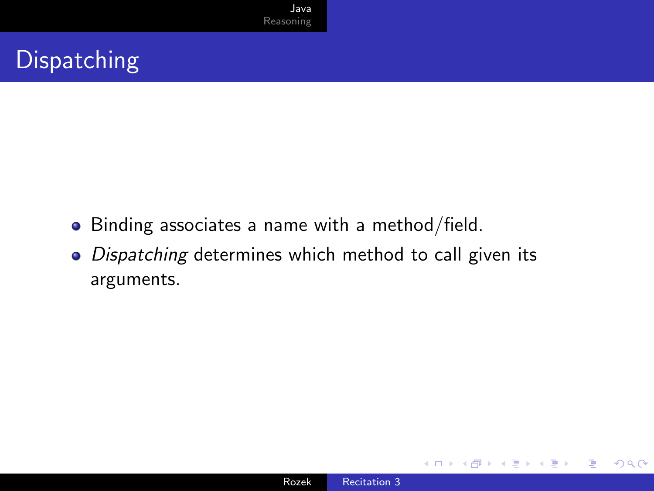# **Dispatching**

- Binding associates a name with a method/field.
- Dispatching determines which method to call given its arguments.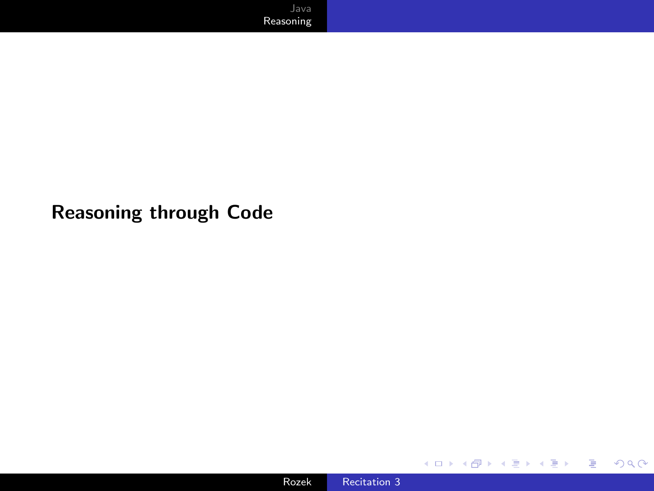#### <span id="page-14-0"></span>Reasoning through Code

目

医头面的

**K ロ ▶ K 伊 ▶ K ミ**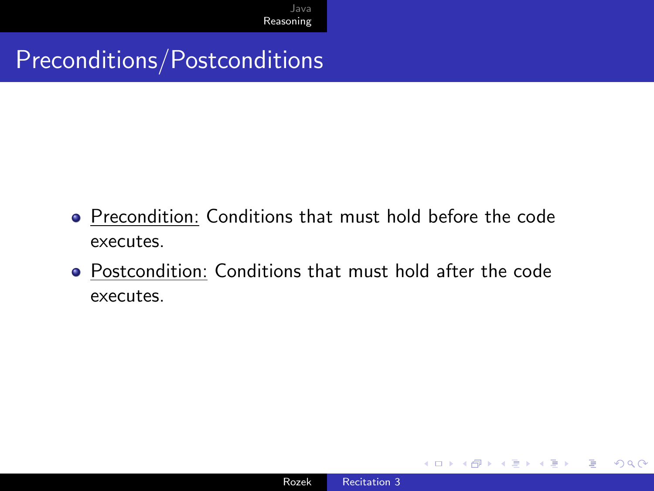#### Preconditions/Postconditions

- Precondition: Conditions that must hold before the code executes.
- Postcondition: Conditions that must hold after the code executes.

∍

 $\Omega$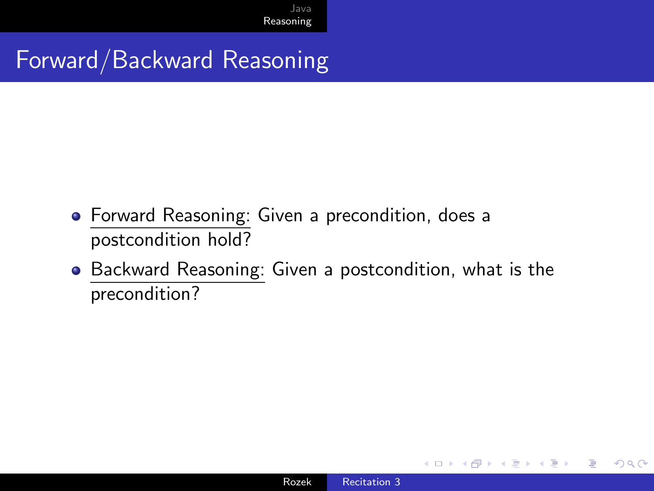### Forward/Backward Reasoning

- Forward Reasoning: Given a precondition, does a postcondition hold?
- Backward Reasoning: Given a postcondition, what is the precondition?

 $\Omega$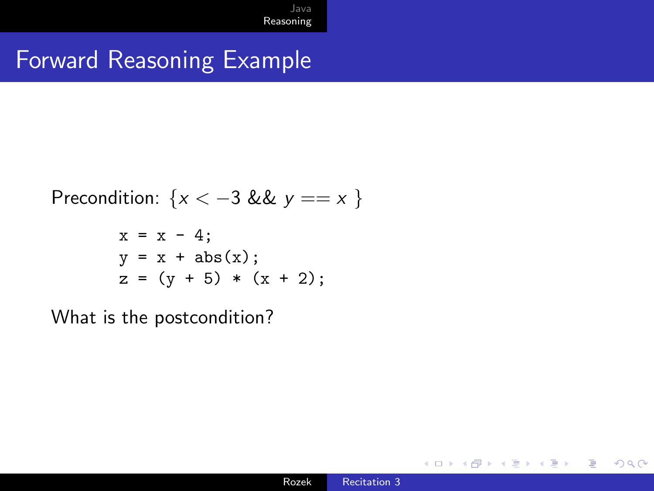### Forward Reasoning Example

$$
Precondition: \{x < -3 \& y == x \}
$$

$$
x = x - 4;
$$
  
\n $y = x + abs(x);$   
\n $z = (y + 5) * (x + 2);$ 

What is the postcondition?

€⊡

 $299$ 

Þ

准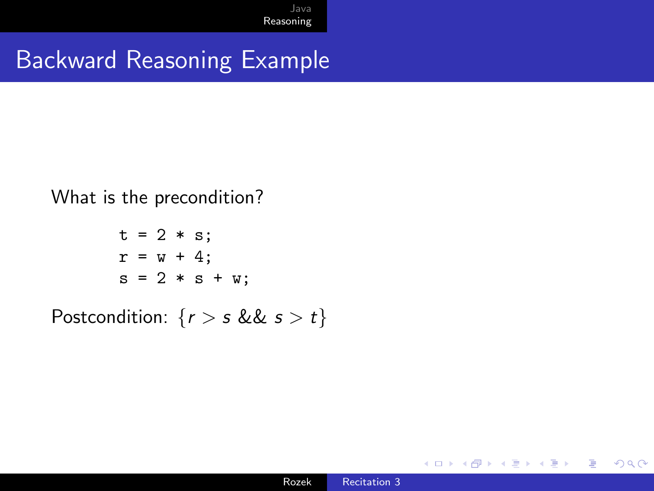### Backward Reasoning Example

What is the precondition?

$$
t = 2 * s;
$$
  
\n
$$
r = w + 4;
$$
  
\n
$$
s = 2 * s + w;
$$

Postcondition:  $\{r > s \& s > t\}$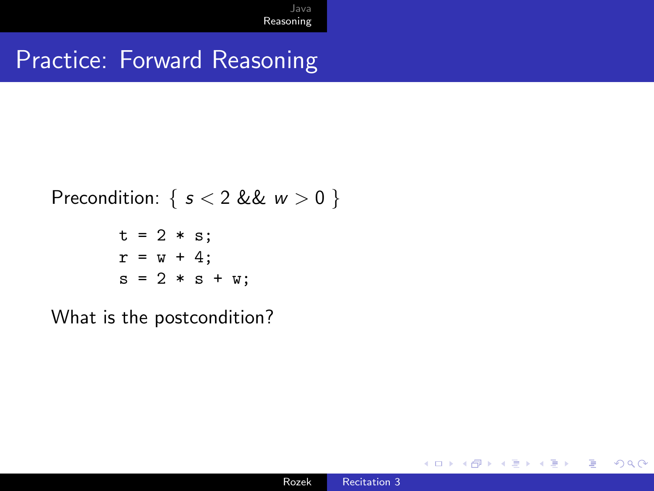### Practice: Forward Reasoning

Precondition: 
$$
\{ s < 2 \& w > 0 \}
$$

$$
t = 2 * s;
$$
  
\n
$$
r = w + 4;
$$
  
\n
$$
s = 2 * s + w;
$$

What is the postcondition?

4 **ED** 

 $299$ 

准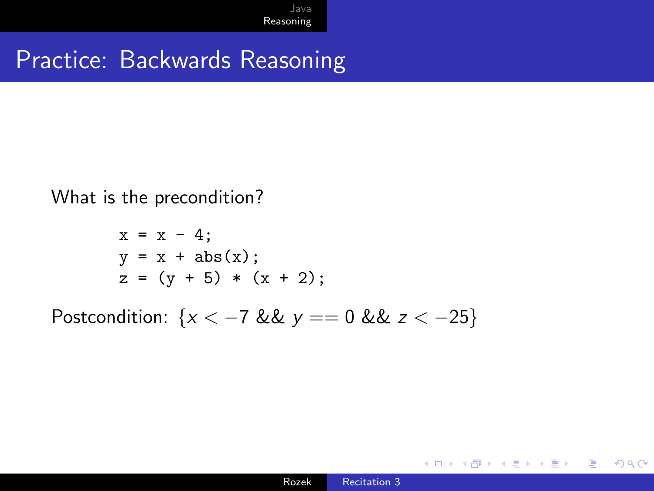#### Practice: Backwards Reasoning

What is the precondition?

$$
x = x - 4;
$$
  
\n $y = x + abs(x);$   
\n $z = (y + 5) * (x + 2);$ 

Postcondition:  $\{x < -7 \& \& y == 0 \& \& z < -25\}$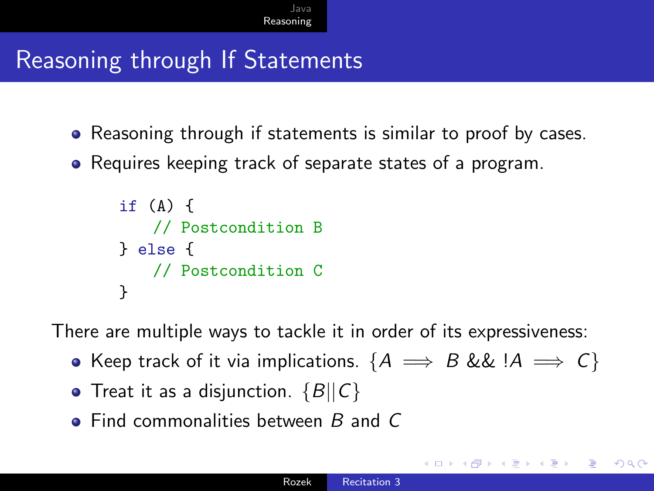### Reasoning through If Statements

- Reasoning through if statements is similar to proof by cases.
- Requires keeping track of separate states of a program.

```
if (A) {
   // Postcondition B
} else {
   // Postcondition C
}
```
There are multiple ways to tackle it in order of its expressiveness:

- Keep track of it via implications. { $A \implies B \&\& A \implies C$ }
- $\bullet$  Treat it as a disjunction.  $\{B||C\}$
- $\bullet$  Find commonalities between B and C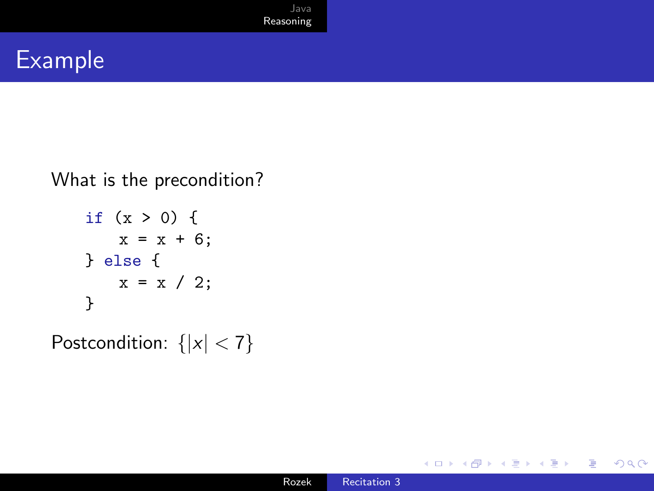

#### Example

What is the precondition?

if 
$$
(x > 0)
$$
 {  
\n $x = x + 6$ ;  
\n} else {  
\n $x = x / 2$ ;  
\n}

Postcondition:  $\{|x| < 7\}$ 

4日下

 $\sim$ 凸  $\rightarrow$ × Ξ

E

≣

-b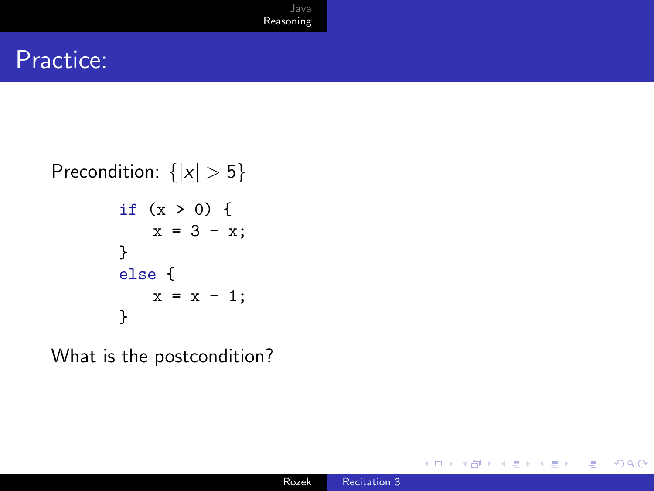#### Practice:

#### Precondition:  $\{|x| > 5\}$ if  $(x > 0)$  {  $x = 3 - x;$ } else {  $x = x - 1;$ }

What is the postcondition?

 $\sim$   $\sim$ 

 $299$ 

准

∍

-b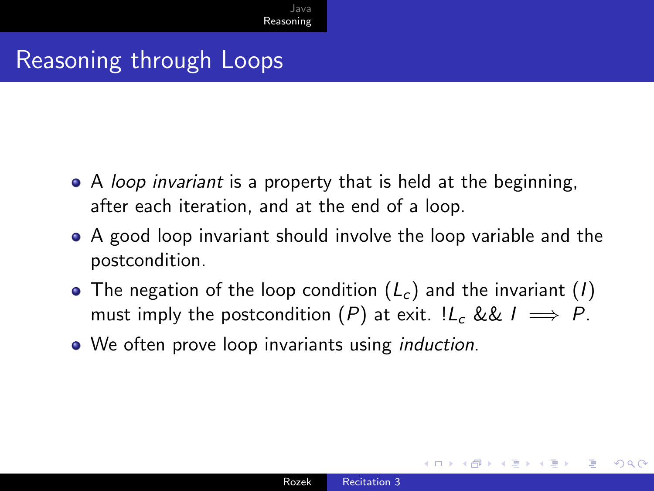#### Reasoning through Loops

- A *loop invariant* is a property that is held at the beginning, after each iteration, and at the end of a loop.
- A good loop invariant should involve the loop variable and the postcondition.
- The negation of the loop condition  $(L_c)$  and the invariant  $(I)$ must imply the postcondition  $(P)$  at exit.  $!L_c \&L \implies P$ .
- We often prove loop invariants using *induction*.

つくい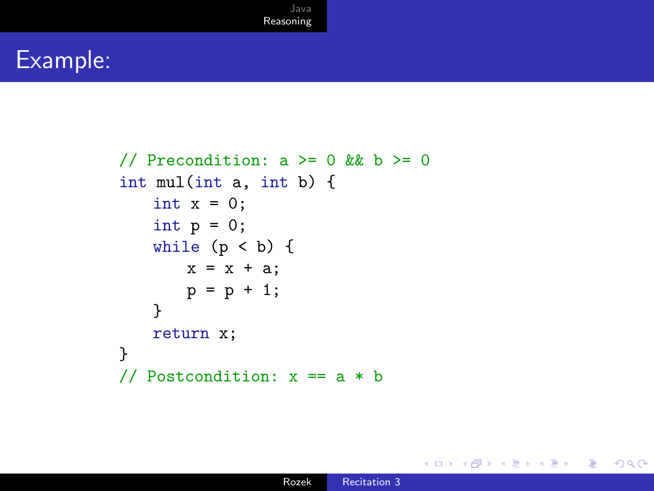### Example:

```
// Precondition: a \ge 0 && b \ge 0int mul(int a, int b) {
   int x = 0;
   int p = 0;
   while (p < b) {
       x = x + a;
       p = p + 1;}
   return x;
}
// Postcondition: x == a * b
```
 $299$ 

Ξ

€⊡

(금 ) 准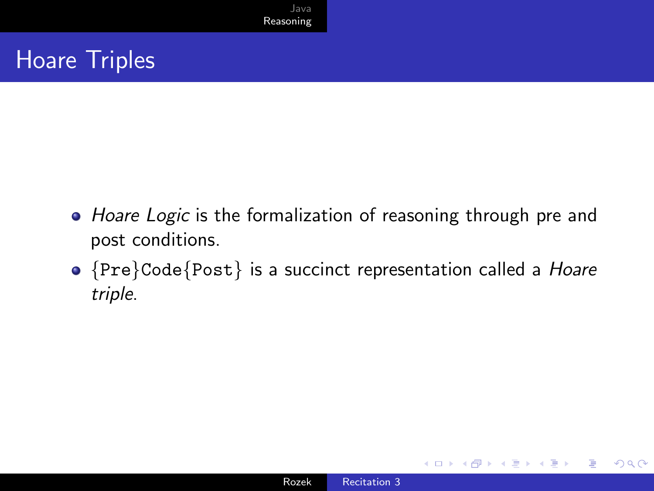### Hoare Triples

- Hoare Logic is the formalization of reasoning through pre and post conditions.
- {Pre}Code{Post} is a succinct representation called a Hoare triple.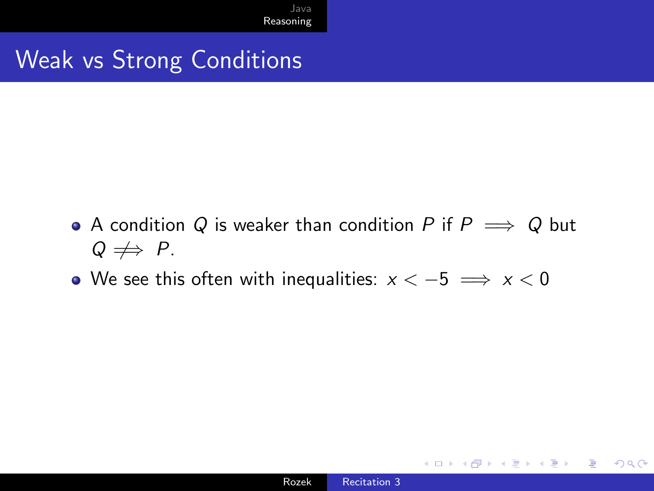## Weak vs Strong Conditions

- A condition Q is weaker than condition P if  $P \implies Q$  but  $Q \nRightarrow P.$
- We see this often with inequalities:  $x < -5$   $\implies x < 0$

∍